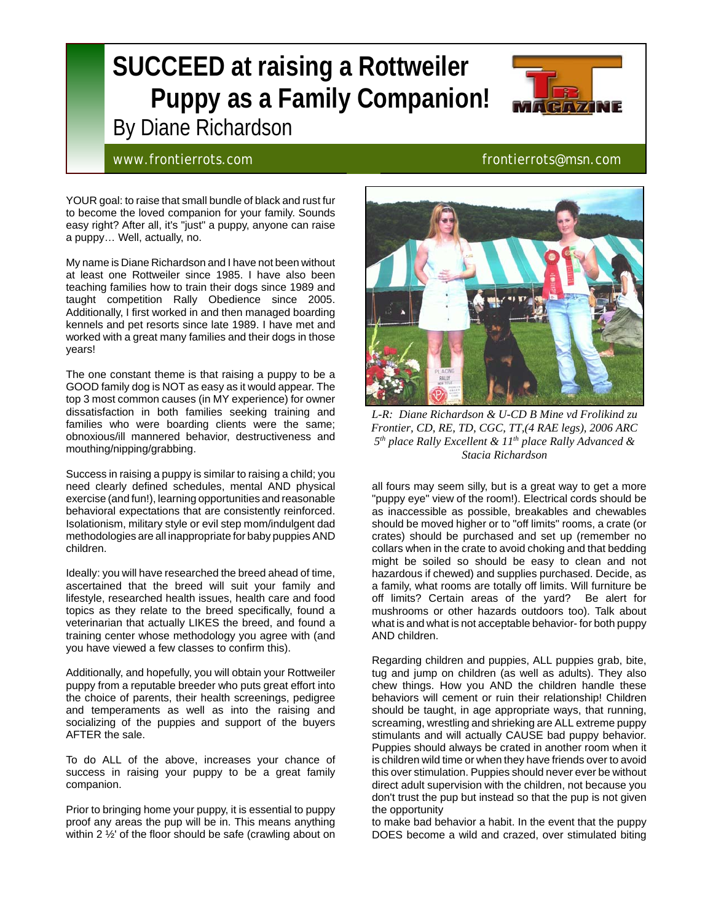# **SUCCEED at raising a Rottweiler Puppy as a Family Companion!**  By Diane Richardson



# www.frontierrots.com and the state of the state of the frontierrots@msn.com

YOUR goal: to raise that small bundle of black and rust fur to become the loved companion for your family. Sounds easy right? After all, it's "just" a puppy, anyone can raise a puppy… Well, actually, no.

My name is Diane Richardson and I have not been without at least one Rottweiler since 1985. I have also been teaching families how to train their dogs since 1989 and taught competition Rally Obedience since 2005. Additionally, I first worked in and then managed boarding kennels and pet resorts since late 1989. I have met and worked with a great many families and their dogs in those years!

The one constant theme is that raising a puppy to be a GOOD family dog is NOT as easy as it would appear. The top 3 most common causes (in MY experience) for owner dissatisfaction in both families seeking training and families who were boarding clients were the same; obnoxious/ill mannered behavior, destructiveness and mouthing/nipping/grabbing.

Success in raising a puppy is similar to raising a child; you need clearly defined schedules, mental AND physical exercise (and fun!), learning opportunities and reasonable behavioral expectations that are consistently reinforced. Isolationism, military style or evil step mom/indulgent dad methodologies are all inappropriate for baby puppies AND children.

Ideally: you will have researched the breed ahead of time, ascertained that the breed will suit your family and lifestyle, researched health issues, health care and food topics as they relate to the breed specifically, found a veterinarian that actually LIKES the breed, and found a training center whose methodology you agree with (and you have viewed a few classes to confirm this).

Additionally, and hopefully, you will obtain your Rottweiler puppy from a reputable breeder who puts great effort into the choice of parents, their health screenings, pedigree and temperaments as well as into the raising and socializing of the puppies and support of the buyers AFTER the sale.

To do ALL of the above, increases your chance of success in raising your puppy to be a great family companion.

Prior to bringing home your puppy, it is essential to puppy proof any areas the pup will be in. This means anything within 2 ½' of the floor should be safe (crawling about on



*L-R: Diane Richardson & U-CD B Mine vd Frolikind zu Frontier, CD, RE, TD, CGC, TT,(4 RAE legs), 2006 ARC 5th place Rally Excellent & 11th place Rally Advanced & Stacia Richardson*

all fours may seem silly, but is a great way to get a more "puppy eye" view of the room!). Electrical cords should be as inaccessible as possible, breakables and chewables should be moved higher or to "off limits" rooms, a crate (or crates) should be purchased and set up (remember no collars when in the crate to avoid choking and that bedding might be soiled so should be easy to clean and not hazardous if chewed) and supplies purchased. Decide, as a family, what rooms are totally off limits. Will furniture be off limits? Certain areas of the yard? Be alert for mushrooms or other hazards outdoors too). Talk about what is and what is not acceptable behavior- for both puppy AND children.

Regarding children and puppies, ALL puppies grab, bite, tug and jump on children (as well as adults). They also chew things. How you AND the children handle these behaviors will cement or ruin their relationship! Children should be taught, in age appropriate ways, that running, screaming, wrestling and shrieking are ALL extreme puppy stimulants and will actually CAUSE bad puppy behavior. Puppies should always be crated in another room when it is children wild time or when they have friends over to avoid this over stimulation. Puppies should never ever be without direct adult supervision with the children, not because you don't trust the pup but instead so that the pup is not given the opportunity

to make bad behavior a habit. In the event that the puppy DOES become a wild and crazed, over stimulated biting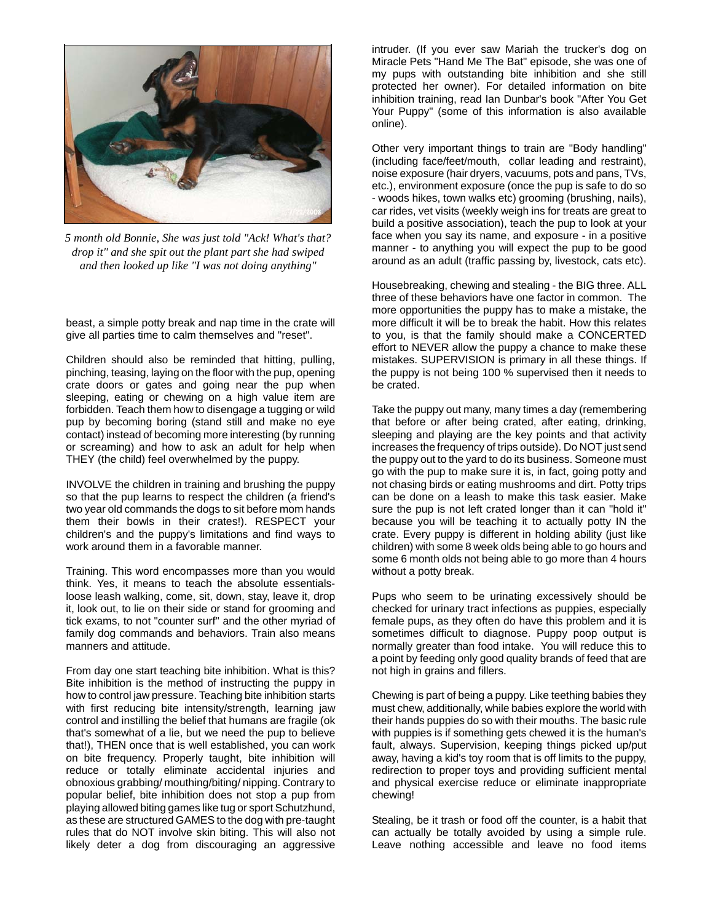

*5 month old Bonnie, She was just told "Ack! What's that? drop it" and she spit out the plant part she had swiped and then looked up like "I was not doing anything"*

beast, a simple potty break and nap time in the crate will give all parties time to calm themselves and "reset".

Children should also be reminded that hitting, pulling, pinching, teasing, laying on the floor with the pup, opening crate doors or gates and going near the pup when sleeping, eating or chewing on a high value item are forbidden. Teach them how to disengage a tugging or wild pup by becoming boring (stand still and make no eye contact) instead of becoming more interesting (by running or screaming) and how to ask an adult for help when THEY (the child) feel overwhelmed by the puppy.

INVOLVE the children in training and brushing the puppy so that the pup learns to respect the children (a friend's two year old commands the dogs to sit before mom hands them their bowls in their crates!). RESPECT your children's and the puppy's limitations and find ways to work around them in a favorable manner.

Training. This word encompasses more than you would think. Yes, it means to teach the absolute essentialsloose leash walking, come, sit, down, stay, leave it, drop it, look out, to lie on their side or stand for grooming and tick exams, to not "counter surf" and the other myriad of family dog commands and behaviors. Train also means manners and attitude.

From day one start teaching bite inhibition. What is this? Bite inhibition is the method of instructing the puppy in how to control jaw pressure. Teaching bite inhibition starts with first reducing bite intensity/strength, learning jaw control and instilling the belief that humans are fragile (ok that's somewhat of a lie, but we need the pup to believe that!), THEN once that is well established, you can work on bite frequency. Properly taught, bite inhibition will reduce or totally eliminate accidental injuries and obnoxious grabbing/ mouthing/biting/ nipping. Contrary to popular belief, bite inhibition does not stop a pup from playing allowed biting games like tug or sport Schutzhund, as these are structured GAMES to the dog with pre-taught rules that do NOT involve skin biting. This will also not likely deter a dog from discouraging an aggressive

intruder. (If you ever saw Mariah the trucker's dog on Miracle Pets "Hand Me The Bat" episode, she was one of my pups with outstanding bite inhibition and she still protected her owner). For detailed information on bite inhibition training, read Ian Dunbar's book "After You Get Your Puppy" (some of this information is also available online).

Other very important things to train are "Body handling" (including face/feet/mouth, collar leading and restraint), noise exposure (hair dryers, vacuums, pots and pans, TVs, etc.), environment exposure (once the pup is safe to do so - woods hikes, town walks etc) grooming (brushing, nails), car rides, vet visits (weekly weigh ins for treats are great to build a positive association), teach the pup to look at your face when you say its name, and exposure - in a positive manner - to anything you will expect the pup to be good around as an adult (traffic passing by, livestock, cats etc).

Housebreaking, chewing and stealing - the BIG three. ALL three of these behaviors have one factor in common. The more opportunities the puppy has to make a mistake, the more difficult it will be to break the habit. How this relates to you, is that the family should make a CONCERTED effort to NEVER allow the puppy a chance to make these mistakes. SUPERVISION is primary in all these things. If the puppy is not being 100 % supervised then it needs to be crated.

Take the puppy out many, many times a day (remembering that before or after being crated, after eating, drinking, sleeping and playing are the key points and that activity increases the frequency of trips outside). Do NOT just send the puppy out to the yard to do its business. Someone must go with the pup to make sure it is, in fact, going potty and not chasing birds or eating mushrooms and dirt. Potty trips can be done on a leash to make this task easier. Make sure the pup is not left crated longer than it can "hold it" because you will be teaching it to actually potty IN the crate. Every puppy is different in holding ability (just like children) with some 8 week olds being able to go hours and some 6 month olds not being able to go more than 4 hours without a potty break.

Pups who seem to be urinating excessively should be checked for urinary tract infections as puppies, especially female pups, as they often do have this problem and it is sometimes difficult to diagnose. Puppy poop output is normally greater than food intake. You will reduce this to a point by feeding only good quality brands of feed that are not high in grains and fillers.

Chewing is part of being a puppy. Like teething babies they must chew, additionally, while babies explore the world with their hands puppies do so with their mouths. The basic rule with puppies is if something gets chewed it is the human's fault, always. Supervision, keeping things picked up/put away, having a kid's toy room that is off limits to the puppy, redirection to proper toys and providing sufficient mental and physical exercise reduce or eliminate inappropriate chewing!

Stealing, be it trash or food off the counter, is a habit that can actually be totally avoided by using a simple rule. Leave nothing accessible and leave no food items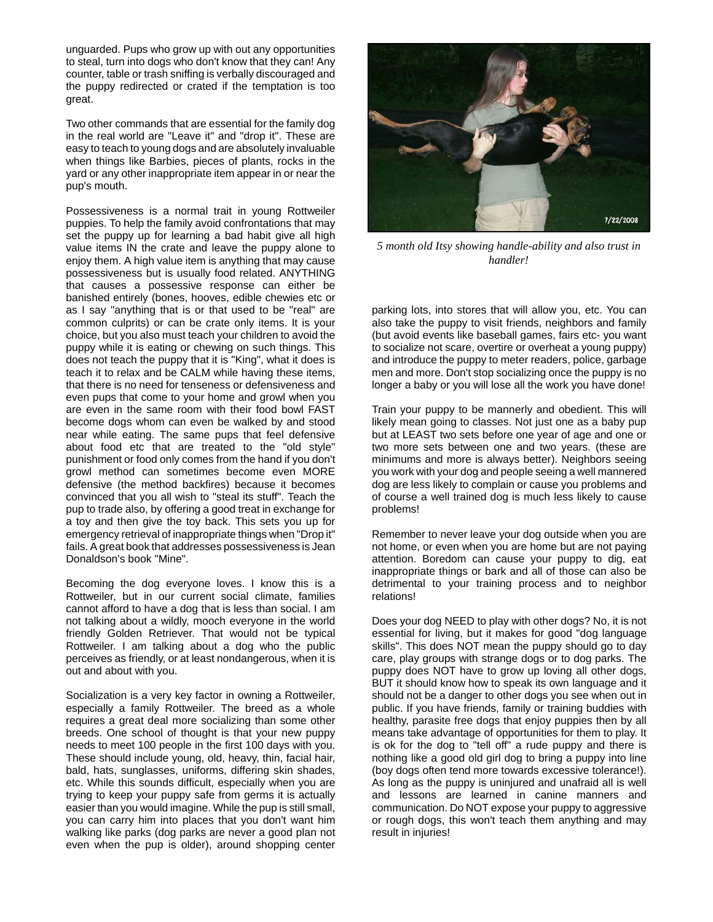unguarded. Pups who grow up with out any opportunities to steal, turn into dogs who don't know that they can! Any counter, table or trash sniffing is verbally discouraged and the puppy redirected or crated if the temptation is too great.

Two other commands that are essential for the family dog in the real world are "Leave it" and "drop it". These are easy to teach to young dogs and are absolutely invaluable when things like Barbies, pieces of plants, rocks in the yard or any other inappropriate item appear in or near the pup's mouth.

Possessiveness is a normal trait in young Rottweiler puppies. To help the family avoid confrontations that may set the puppy up for learning a bad habit give all high value items IN the crate and leave the puppy alone to enjoy them. A high value item is anything that may cause possessiveness but is usually food related. ANYTHING that causes a possessive response can either be banished entirely (bones, hooves, edible chewies etc or as I say "anything that is or that used to be "real" are common culprits) or can be crate only items. It is your choice, but you also must teach your children to avoid the puppy while it is eating or chewing on such things. This does not teach the puppy that it is "King", what it does is teach it to relax and be CALM while having these items, that there is no need for tenseness or defensiveness and even pups that come to your home and growl when you are even in the same room with their food bowl FAST become dogs whom can even be walked by and stood near while eating. The same pups that feel defensive about food etc that are treated to the "old style" punishment or food only comes from the hand if you don't growl method can sometimes become even MORE defensive (the method backfires) because it becomes convinced that you all wish to "steal its stuff". Teach the pup to trade also, by offering a good treat in exchange for a toy and then give the toy back. This sets you up for emergency retrieval of inappropriate things when "Drop it" fails. A great book that addresses possessiveness is Jean Donaldson's book "Mine".

Becoming the dog everyone loves. I know this is a Rottweiler, but in our current social climate, families cannot afford to have a dog that is less than social. I am not talking about a wildly, mooch everyone in the world friendly Golden Retriever. That would not be typical Rottweiler. I am talking about a dog who the public perceives as friendly, or at least nondangerous, when it is out and about with you.

Socialization is a very key factor in owning a Rottweiler, especially a family Rottweiler. The breed as a whole requires a great deal more socializing than some other breeds. One school of thought is that your new puppy needs to meet 100 people in the first 100 days with you. These should include young, old, heavy, thin, facial hair, bald, hats, sunglasses, uniforms, differing skin shades, etc. While this sounds difficult, especially when you are trying to keep your puppy safe from germs it is actually easier than you would imagine. While the pup is still small, you can carry him into places that you don't want him walking like parks (dog parks are never a good plan not even when the pup is older), around shopping center



*5 month old Itsy showing handle-ability and also trust in handler!*

parking lots, into stores that will allow you, etc. You can also take the puppy to visit friends, neighbors and family (but avoid events like baseball games, fairs etc- you want to socialize not scare, overtire or overheat a young puppy) and introduce the puppy to meter readers, police, garbage men and more. Don't stop socializing once the puppy is no longer a baby or you will lose all the work you have done!

Train your puppy to be mannerly and obedient. This will likely mean going to classes. Not just one as a baby pup but at LEAST two sets before one year of age and one or two more sets between one and two years. (these are minimums and more is always better). Neighbors seeing you work with your dog and people seeing a well mannered dog are less likely to complain or cause you problems and of course a well trained dog is much less likely to cause problems!

Remember to never leave your dog outside when you are not home, or even when you are home but are not paying attention. Boredom can cause your puppy to dig, eat inappropriate things or bark and all of those can also be detrimental to your training process and to neighbor relations!

Does your dog NEED to play with other dogs? No, it is not essential for living, but it makes for good "dog language skills". This does NOT mean the puppy should go to day care, play groups with strange dogs or to dog parks. The puppy does NOT have to grow up loving all other dogs, BUT it should know how to speak its own language and it should not be a danger to other dogs you see when out in public. If you have friends, family or training buddies with healthy, parasite free dogs that enjoy puppies then by all means take advantage of opportunities for them to play. It is ok for the dog to "tell off" a rude puppy and there is nothing like a good old girl dog to bring a puppy into line (boy dogs often tend more towards excessive tolerance!). As long as the puppy is uninjured and unafraid all is well and lessons are learned in canine manners and communication. Do NOT expose your puppy to aggressive or rough dogs, this won't teach them anything and may result in injuries!